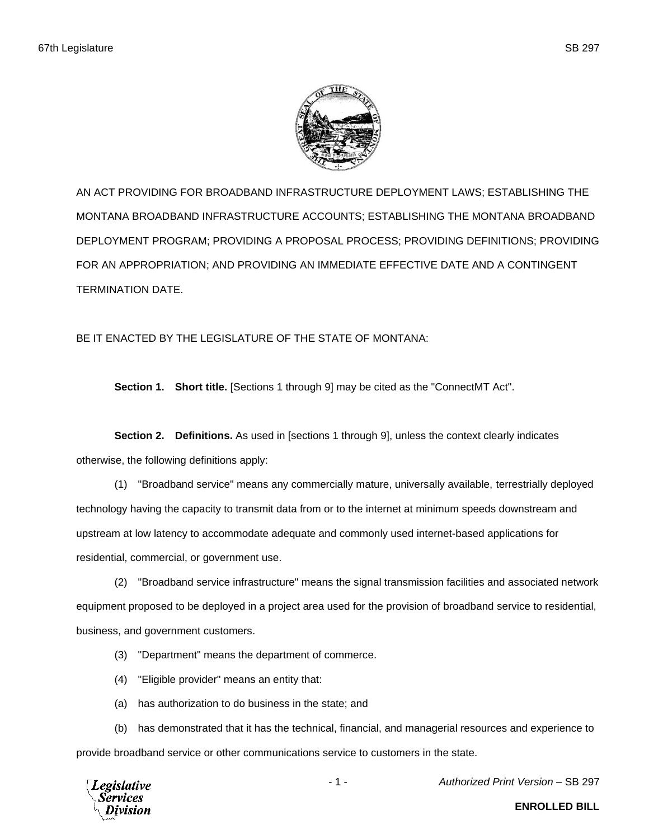

AN ACT PROVIDING FOR BROADBAND INFRASTRUCTURE DEPLOYMENT LAWS; ESTABLISHING THE MONTANA BROADBAND INFRASTRUCTURE ACCOUNTS; ESTABLISHING THE MONTANA BROADBAND DEPLOYMENT PROGRAM; PROVIDING A PROPOSAL PROCESS; PROVIDING DEFINITIONS; PROVIDING FOR AN APPROPRIATION; AND PROVIDING AN IMMEDIATE EFFECTIVE DATE AND A CONTINGENT TERMINATION DATE.

BE IT ENACTED BY THE LEGISLATURE OF THE STATE OF MONTANA:

**Section 1. Short title.** [Sections 1 through 9] may be cited as the "ConnectMT Act".

**Section 2. Definitions.** As used in [sections 1 through 9], unless the context clearly indicates otherwise, the following definitions apply:

(1) "Broadband service" means any commercially mature, universally available, terrestrially deployed technology having the capacity to transmit data from or to the internet at minimum speeds downstream and upstream at low latency to accommodate adequate and commonly used internet-based applications for residential, commercial, or government use.

(2) "Broadband service infrastructure" means the signal transmission facilities and associated network equipment proposed to be deployed in a project area used for the provision of broadband service to residential, business, and government customers.

(3) "Department" means the department of commerce.

(4) "Eligible provider" means an entity that:

(a) has authorization to do business in the state; and

(b) has demonstrated that it has the technical, financial, and managerial resources and experience to provide broadband service or other communications service to customers in the state.



- 1 - *Authorized Print Version* – SB 297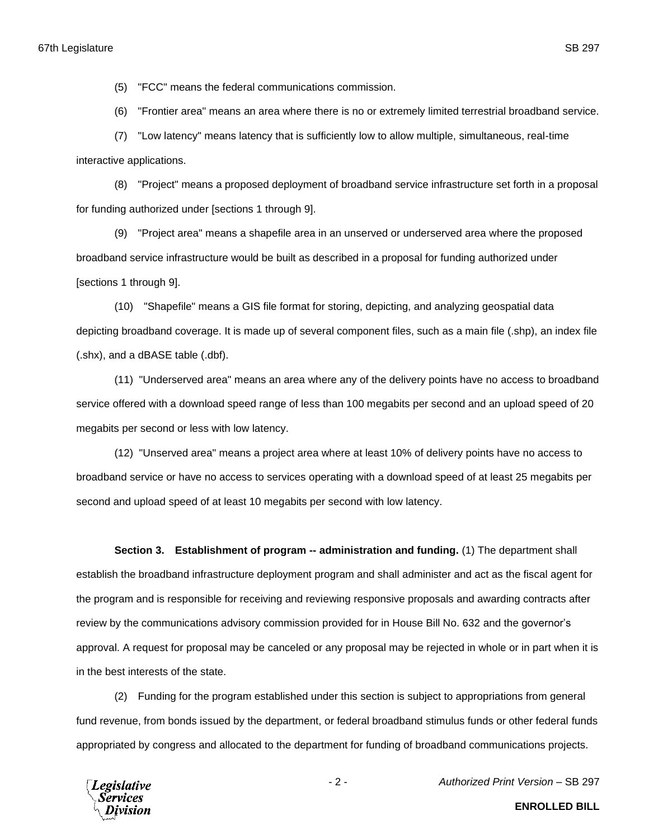(5) "FCC" means the federal communications commission.

(6) "Frontier area" means an area where there is no or extremely limited terrestrial broadband service.

(7) "Low latency" means latency that is sufficiently low to allow multiple, simultaneous, real-time interactive applications.

(8) "Project" means a proposed deployment of broadband service infrastructure set forth in a proposal for funding authorized under [sections 1 through 9].

(9) "Project area" means a shapefile area in an unserved or underserved area where the proposed broadband service infrastructure would be built as described in a proposal for funding authorized under [sections 1 through 9].

(10) "Shapefile" means a GIS file format for storing, depicting, and analyzing geospatial data depicting broadband coverage. It is made up of several component files, such as a main file (.shp), an index file (.shx), and a dBASE table (.dbf).

(11) "Underserved area" means an area where any of the delivery points have no access to broadband service offered with a download speed range of less than 100 megabits per second and an upload speed of 20 megabits per second or less with low latency.

(12) "Unserved area" means a project area where at least 10% of delivery points have no access to broadband service or have no access to services operating with a download speed of at least 25 megabits per second and upload speed of at least 10 megabits per second with low latency.

**Section 3. Establishment of program -- administration and funding.** (1) The department shall establish the broadband infrastructure deployment program and shall administer and act as the fiscal agent for the program and is responsible for receiving and reviewing responsive proposals and awarding contracts after review by the communications advisory commission provided for in House Bill No. 632 and the governor's approval. A request for proposal may be canceled or any proposal may be rejected in whole or in part when it is in the best interests of the state.

(2) Funding for the program established under this section is subject to appropriations from general fund revenue, from bonds issued by the department, or federal broadband stimulus funds or other federal funds appropriated by congress and allocated to the department for funding of broadband communications projects.

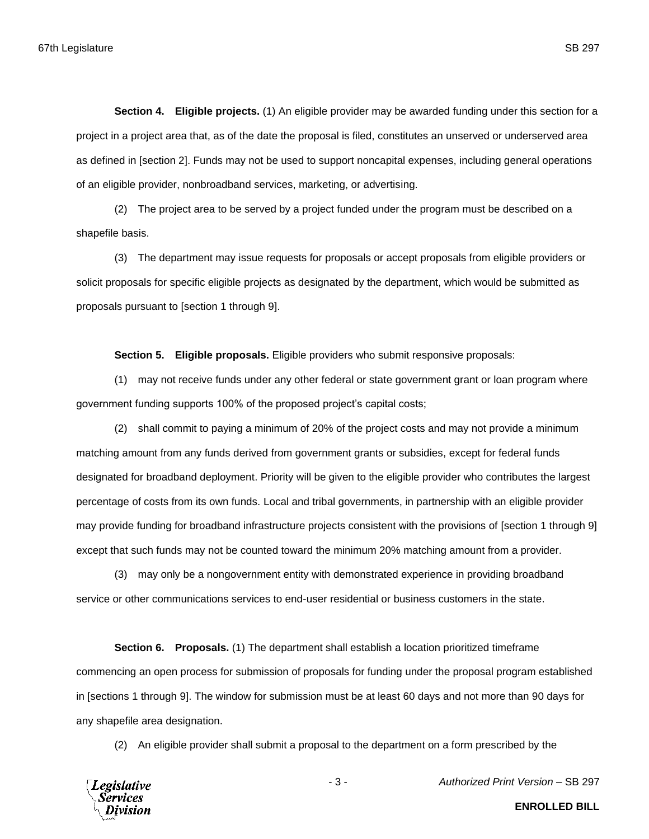**Section 4. Eligible projects.** (1) An eligible provider may be awarded funding under this section for a project in a project area that, as of the date the proposal is filed, constitutes an unserved or underserved area as defined in [section 2]. Funds may not be used to support noncapital expenses, including general operations of an eligible provider, nonbroadband services, marketing, or advertising.

(2) The project area to be served by a project funded under the program must be described on a shapefile basis.

(3) The department may issue requests for proposals or accept proposals from eligible providers or solicit proposals for specific eligible projects as designated by the department, which would be submitted as proposals pursuant to [section 1 through 9].

**Section 5. Eligible proposals.** Eligible providers who submit responsive proposals:

(1) may not receive funds under any other federal or state government grant or loan program where government funding supports 100% of the proposed project's capital costs;

(2) shall commit to paying a minimum of 20% of the project costs and may not provide a minimum matching amount from any funds derived from government grants or subsidies, except for federal funds designated for broadband deployment. Priority will be given to the eligible provider who contributes the largest percentage of costs from its own funds. Local and tribal governments, in partnership with an eligible provider may provide funding for broadband infrastructure projects consistent with the provisions of [section 1 through 9] except that such funds may not be counted toward the minimum 20% matching amount from a provider.

(3) may only be a nongovernment entity with demonstrated experience in providing broadband service or other communications services to end-user residential or business customers in the state.

**Section 6. Proposals.** (1) The department shall establish a location prioritized timeframe commencing an open process for submission of proposals for funding under the proposal program established in [sections 1 through 9]. The window for submission must be at least 60 days and not more than 90 days for any shapefile area designation.

(2) An eligible provider shall submit a proposal to the department on a form prescribed by the



- 3 - *Authorized Print Version* – SB 297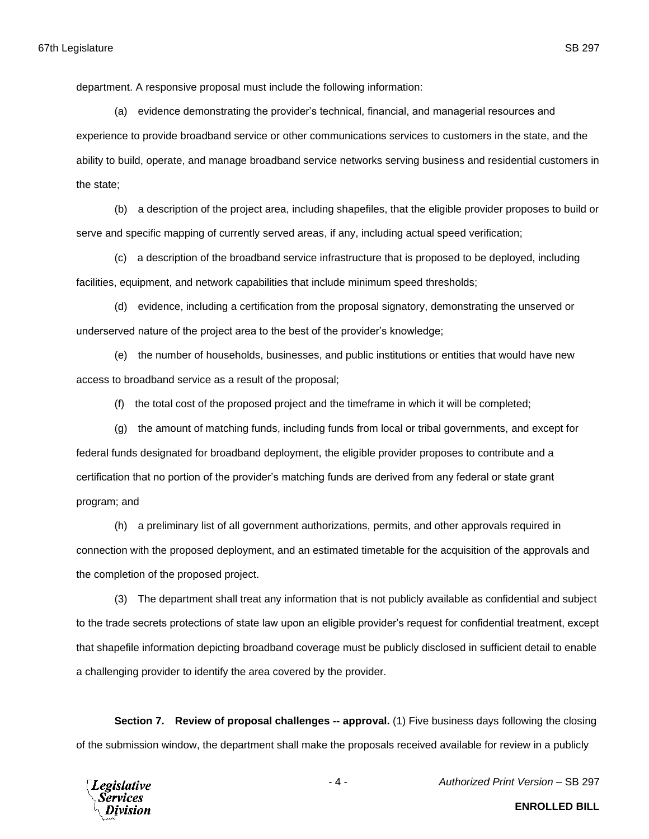department. A responsive proposal must include the following information:

(a) evidence demonstrating the provider's technical, financial, and managerial resources and experience to provide broadband service or other communications services to customers in the state, and the ability to build, operate, and manage broadband service networks serving business and residential customers in the state;

(b) a description of the project area, including shapefiles, that the eligible provider proposes to build or serve and specific mapping of currently served areas, if any, including actual speed verification;

(c) a description of the broadband service infrastructure that is proposed to be deployed, including facilities, equipment, and network capabilities that include minimum speed thresholds;

(d) evidence, including a certification from the proposal signatory, demonstrating the unserved or underserved nature of the project area to the best of the provider's knowledge;

(e) the number of households, businesses, and public institutions or entities that would have new access to broadband service as a result of the proposal;

(f) the total cost of the proposed project and the timeframe in which it will be completed;

(g) the amount of matching funds, including funds from local or tribal governments, and except for federal funds designated for broadband deployment, the eligible provider proposes to contribute and a certification that no portion of the provider's matching funds are derived from any federal or state grant program; and

(h) a preliminary list of all government authorizations, permits, and other approvals required in connection with the proposed deployment, and an estimated timetable for the acquisition of the approvals and the completion of the proposed project.

(3) The department shall treat any information that is not publicly available as confidential and subject to the trade secrets protections of state law upon an eligible provider's request for confidential treatment, except that shapefile information depicting broadband coverage must be publicly disclosed in sufficient detail to enable a challenging provider to identify the area covered by the provider.

**Section 7. Review of proposal challenges -- approval.** (1) Five business days following the closing of the submission window, the department shall make the proposals received available for review in a publicly



- 4 - *Authorized Print Version* – SB 297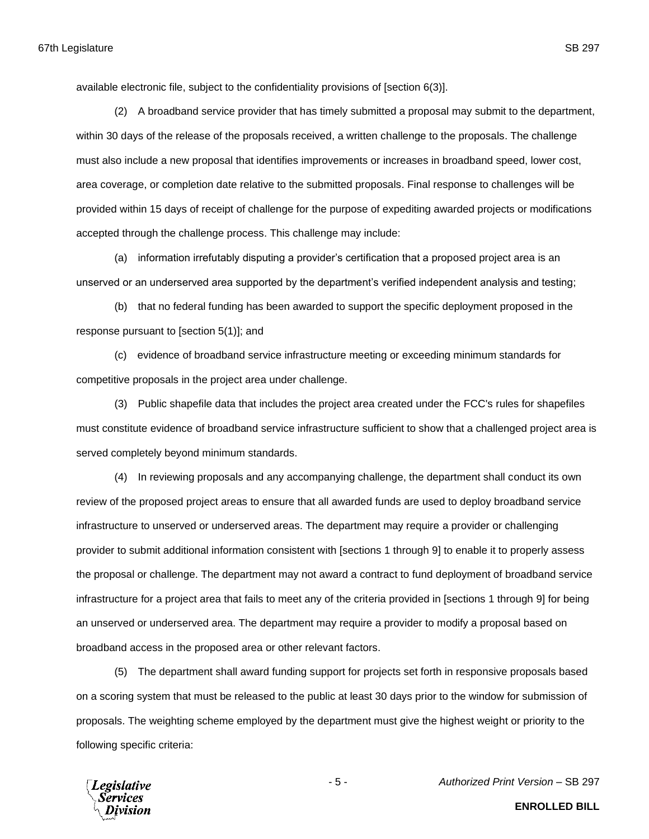available electronic file, subject to the confidentiality provisions of [section 6(3)].

(2) A broadband service provider that has timely submitted a proposal may submit to the department, within 30 days of the release of the proposals received, a written challenge to the proposals. The challenge must also include a new proposal that identifies improvements or increases in broadband speed, lower cost, area coverage, or completion date relative to the submitted proposals. Final response to challenges will be provided within 15 days of receipt of challenge for the purpose of expediting awarded projects or modifications accepted through the challenge process. This challenge may include:

(a) information irrefutably disputing a provider's certification that a proposed project area is an unserved or an underserved area supported by the department's verified independent analysis and testing;

(b) that no federal funding has been awarded to support the specific deployment proposed in the response pursuant to [section 5(1)]; and

(c) evidence of broadband service infrastructure meeting or exceeding minimum standards for competitive proposals in the project area under challenge.

(3) Public shapefile data that includes the project area created under the FCC's rules for shapefiles must constitute evidence of broadband service infrastructure sufficient to show that a challenged project area is served completely beyond minimum standards.

(4) In reviewing proposals and any accompanying challenge, the department shall conduct its own review of the proposed project areas to ensure that all awarded funds are used to deploy broadband service infrastructure to unserved or underserved areas. The department may require a provider or challenging provider to submit additional information consistent with [sections 1 through 9] to enable it to properly assess the proposal or challenge. The department may not award a contract to fund deployment of broadband service infrastructure for a project area that fails to meet any of the criteria provided in [sections 1 through 9] for being an unserved or underserved area. The department may require a provider to modify a proposal based on broadband access in the proposed area or other relevant factors.

(5) The department shall award funding support for projects set forth in responsive proposals based on a scoring system that must be released to the public at least 30 days prior to the window for submission of proposals. The weighting scheme employed by the department must give the highest weight or priority to the following specific criteria:

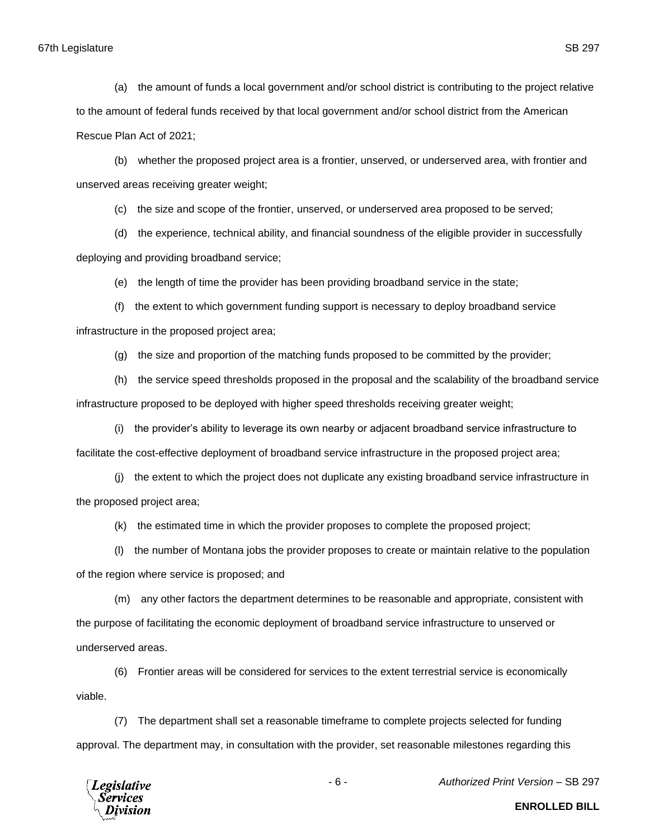(a) the amount of funds a local government and/or school district is contributing to the project relative to the amount of federal funds received by that local government and/or school district from the American Rescue Plan Act of 2021;

(b) whether the proposed project area is a frontier, unserved, or underserved area, with frontier and unserved areas receiving greater weight;

(c) the size and scope of the frontier, unserved, or underserved area proposed to be served;

(d) the experience, technical ability, and financial soundness of the eligible provider in successfully deploying and providing broadband service;

(e) the length of time the provider has been providing broadband service in the state;

(f) the extent to which government funding support is necessary to deploy broadband service infrastructure in the proposed project area;

(g) the size and proportion of the matching funds proposed to be committed by the provider;

(h) the service speed thresholds proposed in the proposal and the scalability of the broadband service infrastructure proposed to be deployed with higher speed thresholds receiving greater weight;

(i) the provider's ability to leverage its own nearby or adjacent broadband service infrastructure to facilitate the cost-effective deployment of broadband service infrastructure in the proposed project area;

(j) the extent to which the project does not duplicate any existing broadband service infrastructure in the proposed project area;

(k) the estimated time in which the provider proposes to complete the proposed project;

(l) the number of Montana jobs the provider proposes to create or maintain relative to the population of the region where service is proposed; and

(m) any other factors the department determines to be reasonable and appropriate, consistent with the purpose of facilitating the economic deployment of broadband service infrastructure to unserved or underserved areas.

(6) Frontier areas will be considered for services to the extent terrestrial service is economically viable.

(7) The department shall set a reasonable timeframe to complete projects selected for funding approval. The department may, in consultation with the provider, set reasonable milestones regarding this



- 6 - *Authorized Print Version* – SB 297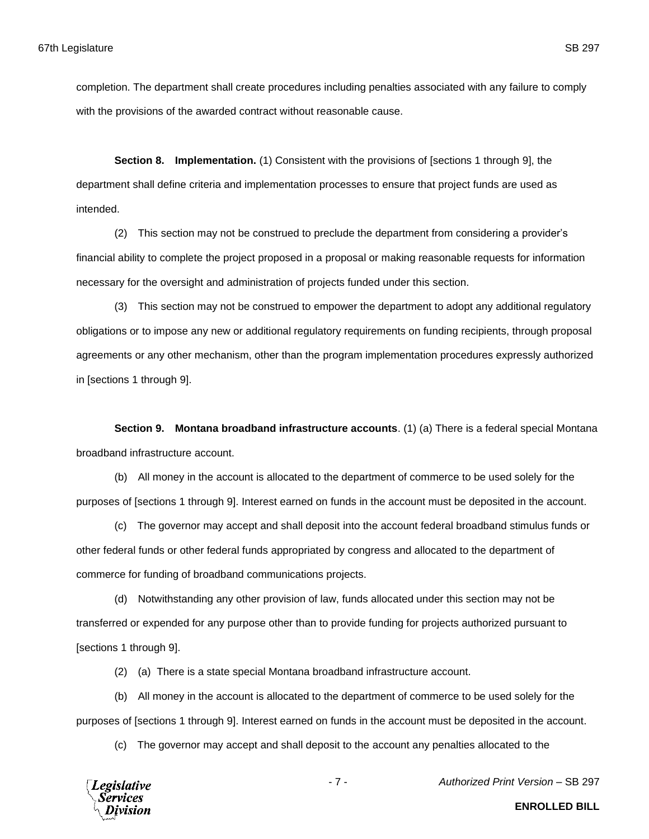completion. The department shall create procedures including penalties associated with any failure to comply with the provisions of the awarded contract without reasonable cause.

**Section 8. Implementation.** (1) Consistent with the provisions of [sections 1 through 9], the department shall define criteria and implementation processes to ensure that project funds are used as intended.

(2) This section may not be construed to preclude the department from considering a provider's financial ability to complete the project proposed in a proposal or making reasonable requests for information necessary for the oversight and administration of projects funded under this section.

(3) This section may not be construed to empower the department to adopt any additional regulatory obligations or to impose any new or additional regulatory requirements on funding recipients, through proposal agreements or any other mechanism, other than the program implementation procedures expressly authorized in [sections 1 through 9].

**Section 9. Montana broadband infrastructure accounts**. (1) (a) There is a federal special Montana broadband infrastructure account.

(b) All money in the account is allocated to the department of commerce to be used solely for the purposes of [sections 1 through 9]. Interest earned on funds in the account must be deposited in the account.

(c) The governor may accept and shall deposit into the account federal broadband stimulus funds or other federal funds or other federal funds appropriated by congress and allocated to the department of commerce for funding of broadband communications projects.

(d) Notwithstanding any other provision of law, funds allocated under this section may not be transferred or expended for any purpose other than to provide funding for projects authorized pursuant to [sections 1 through 9].

(2) (a) There is a state special Montana broadband infrastructure account.

(b) All money in the account is allocated to the department of commerce to be used solely for the purposes of [sections 1 through 9]. Interest earned on funds in the account must be deposited in the account.

(c) The governor may accept and shall deposit to the account any penalties allocated to the



- 7 - *Authorized Print Version* – SB 297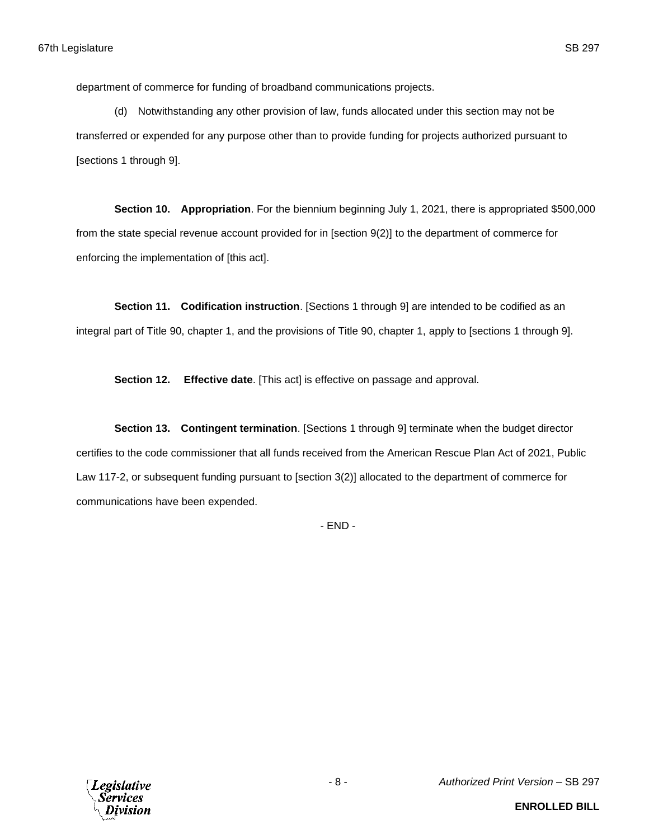department of commerce for funding of broadband communications projects.

(d) Notwithstanding any other provision of law, funds allocated under this section may not be transferred or expended for any purpose other than to provide funding for projects authorized pursuant to [sections 1 through 9].

**Section 10. Appropriation**. For the biennium beginning July 1, 2021, there is appropriated \$500,000 from the state special revenue account provided for in [section 9(2)] to the department of commerce for enforcing the implementation of [this act].

**Section 11. Codification instruction**. [Sections 1 through 9] are intended to be codified as an integral part of Title 90, chapter 1, and the provisions of Title 90, chapter 1, apply to [sections 1 through 9].

**Section 12. Effective date**. [This act] is effective on passage and approval.

**Section 13. Contingent termination**. [Sections 1 through 9] terminate when the budget director certifies to the code commissioner that all funds received from the American Rescue Plan Act of 2021, Public Law 117-2, or subsequent funding pursuant to [section 3(2)] allocated to the department of commerce for communications have been expended.

- END -

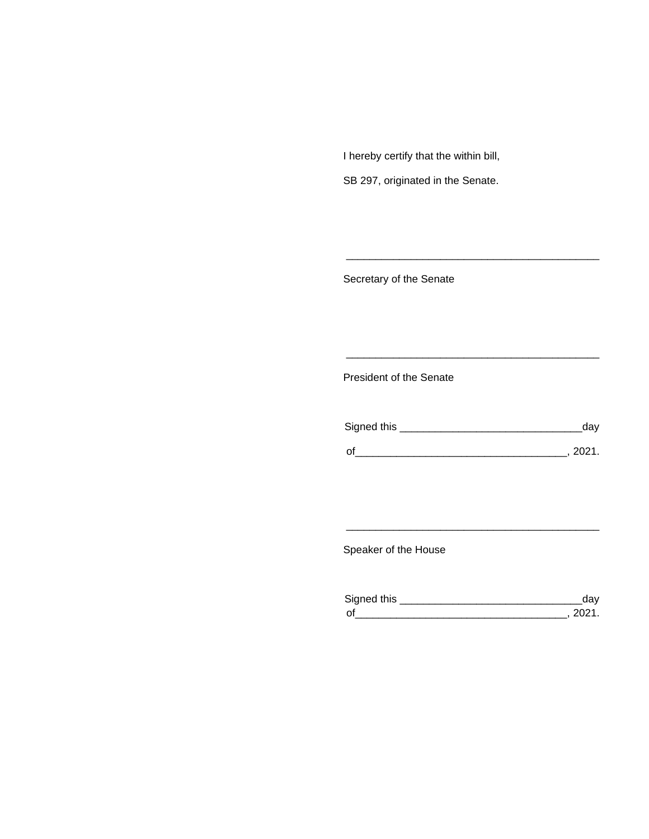I hereby certify that the within bill,

SB 297, originated in the Senate.

Secretary of the Senate

President of the Senate

| Signed this | ua v   |
|-------------|--------|
|             |        |
| $\Omega$    | 111111 |

\_\_\_\_\_\_\_\_\_\_\_\_\_\_\_\_\_\_\_\_\_\_\_\_\_\_\_\_\_\_\_\_\_\_\_\_\_\_\_\_\_\_\_

\_\_\_\_\_\_\_\_\_\_\_\_\_\_\_\_\_\_\_\_\_\_\_\_\_\_\_\_\_\_\_\_\_\_\_\_\_\_\_\_\_\_\_

Speaker of the House

| Sianed this |  |
|-------------|--|
| $\sim$      |  |

\_\_\_\_\_\_\_\_\_\_\_\_\_\_\_\_\_\_\_\_\_\_\_\_\_\_\_\_\_\_\_\_\_\_\_\_\_\_\_\_\_\_\_